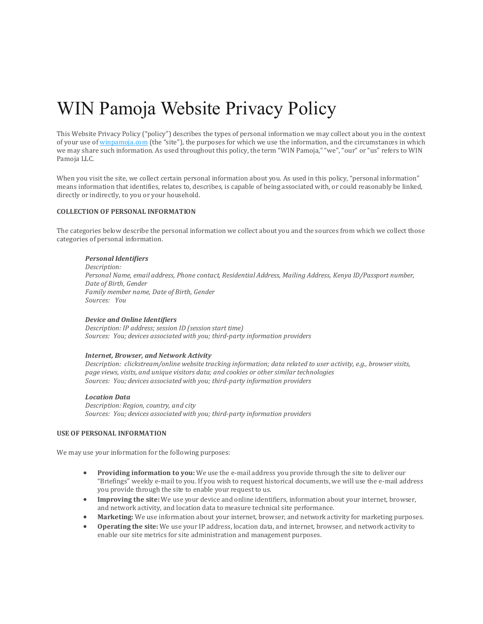# WIN Pamoja Website Privacy Policy

This Website Privacy Policy ("policy") describes the types of personal information we may collect about you in the context of your use of [winpamoja.com](https://www.goldmansachs.com/index.html) (the "site"), the purposes for which we use the information, and the circumstances in which we may share such information. As used throughout this policy, the term "WIN Pamoja," "we", "our" or "us" refers to WIN Pamoja LLC.

When you visit the site, we collect certain personal information about you. As used in this policy, "personal information" means information that identifies, relates to, describes, is capable of being associated with, or could reasonably be linked, directly or indirectly, to you or your household.

#### **COLLECTION OF PERSONAL INFORMATION**

The categories below describe the personal information we collect about you and the sources from which we collect those categories of personal information.

#### *Personal Identifiers*

*Description: Personal Name, email address, Phone contact, Residential Address, Mailing Address, Kenya ID/Passport number, Date of Birth, Gender Family member name, Date of Birth, Gender Sources: You*

#### *Device and Online Identifiers*

*Description: IP address; session ID (session start time) Sources: You; devices associated with you; third-party information providers*

#### *Internet, Browser, and Network Activity*

*Description: clickstream/online website tracking information; data related to user activity, e.g., browser visits, page views, visits, and unique visitors data; and cookies or other similar technologies Sources: You; devices associated with you; third-party information providers*

#### *Location Data*

*Description: Region, country, and city Sources: You; devices associated with you; third-party information providers*

#### **USE OF PERSONAL INFORMATION**

We may use your information for the following purposes:

- **Providing information to you:** We use the e-mail address you provide through the site to deliver our "Briefings" weekly e-mail to you. If you wish to request historical documents, we will use the e-mail address you provide through the site to enable your request to us.
- **Improving the site:** We use your device and online identifiers, information about your internet, browser, and network activity, and location data to measure technical site performance.
- Marketing: We use information about your internet, browser, and network activity for marketing purposes.
- **Operating the site:** We use your IP address, location data, and internet, browser, and network activity to enable our site metrics for site administration and management purposes.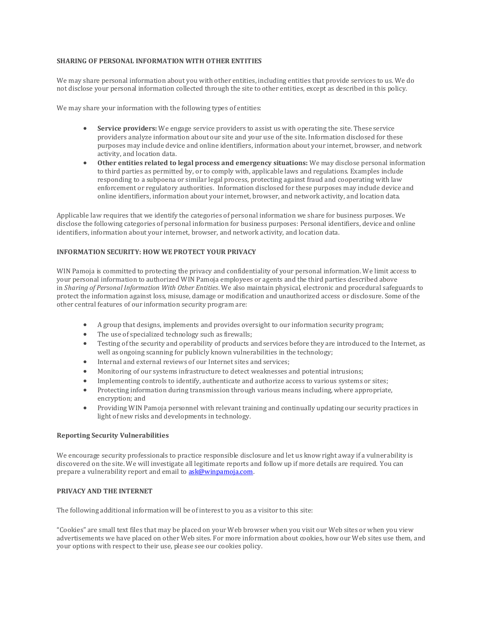#### **SHARING OF PERSONAL INFORMATION WITH OTHER ENTITIES**

We may share personal information about you with other entities, including entities that provide services to us. We do not disclose your personal information collected through the site to other entities, except as described in this policy.

We may share your information with the following types of entities:

- **Service providers:** We engage service providers to assist us with operating the site. These service providers analyze information about our site and your use of the site. Information disclosed for these purposes may include device and online identifiers, information about your internet, browser, and network activity, and location data.
- **Other entities related to legal process and emergency situations:** We may disclose personal information to third parties as permitted by, or to comply with, applicable laws and regulations. Examples include responding to a subpoena or similar legal process, protecting against fraud and cooperating with law enforcement or regulatory authorities. Information disclosed for these purposes may include device and online identifiers, information about your internet, browser, and network activity, and location data.

Applicable law requires that we identify the categories of personal information we share for business purposes. We disclose the following categories of personal information for business purposes: Personal identifiers, device and online identifiers, information about your internet, browser, and network activity, and location data.

#### **INFORMATION SECURITY: HOW WE PROTECT YOUR PRIVACY**

WIN Pamoja is committed to protecting the privacy and confidentiality of your personal information. We limit access to your personal information to authorized WIN Pamoja employees or agents and the third parties described above in *Sharing of Personal Information With Other Entities*. We also maintain physical, electronic and procedural safeguards to protect the information against loss, misuse, damage or modification and unauthorized access or disclosure. Some of the other central features of our information security program are:

- A group that designs, implements and provides oversight to our information security program;
- The use of specialized technology such as firewalls;
- Testing of the security and operability of products and services before they are introduced to the Internet, as well as ongoing scanning for publicly known vulnerabilities in the technology;
- Internal and external reviews of our Internet sites and services;
- Monitoring of our systems infrastructure to detect weaknesses and potential intrusions;
- Implementing controls to identify, authenticate and authorize access to various systems or sites;
- Protecting information during transmission through various means including, where appropriate, encryption; and
- Providing WIN Pamoja personnel with relevant training and continually updating our security practices in light of new risks and developments in technology.

#### **Reporting Security Vulnerabilities**

We encourage security professionals to practice responsible disclosure and let us know right away if a vulnerability is discovered on the site. We will investigate all legitimate reports and follow up if more details are required. You can prepare a vulnerability report and email t[o ask@winpamoja.com.](mailto:ask@winpamoja.com) 

#### **PRIVACY AND THE INTERNET**

The following additional information will be of interest to you as a visitor to this site:

"Cookies" are small text files that may be placed on your Web browser when you visit our Web sites or when you view advertisements we have placed on other Web sites. For more information about cookies, how our Web sites use them, and your options with respect to their use, please see our cookies policy.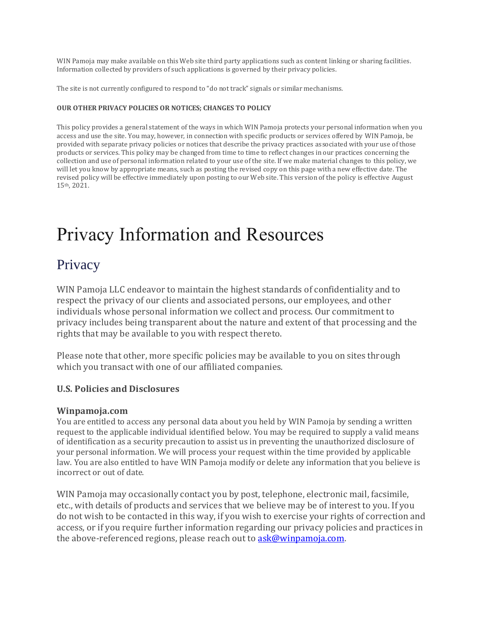WIN Pamoja may make available on this Web site third party applications such as content linking or sharing facilities. Information collected by providers of such applications is governed by their privacy policies.

The site is not currently configured to respond to "do not track" signals or similar mechanisms.

#### **OUR OTHER PRIVACY POLICIES OR NOTICES; CHANGES TO POLICY**

This policy provides a general statement of the ways in which WIN Pamoja protects your personal information when you access and use the site. You may, however, in connection with specific products or services offered by WIN Pamoja, be provided with separate privacy policies or notices that describe the privacy practices associated with your use of those products or services. This policy may be changed from time to time to reflect changes in our practices concerning the collection and use of personal information related to your use of the site. If we make material changes to this policy, we will let you know by appropriate means, such as posting the revised copy on this page with a new effective date. The revised policy will be effective immediately upon posting to our Web site. This version of the policy is effective August 15th, 2021.

# Privacy Information and Resources

## **Privacy**

WIN Pamoja LLC endeavor to maintain the highest standards of confidentiality and to respect the privacy of our clients and associated persons, our employees, and other individuals whose personal information we collect and process. Our commitment to privacy includes being transparent about the nature and extent of that processing and the rights that may be available to you with respect thereto.

Please note that other, more specific policies may be available to you on sites through which you transact with one of our affiliated companies.

### **U.S. Policies and Disclosures**

### **Winpamoja.com**

You are entitled to access any personal data about you held by WIN Pamoja by sending a written request to the applicable individual identified below. You may be required to supply a valid means of identification as a security precaution to assist us in preventing the unauthorized disclosure of your personal information. We will process your request within the time provided by applicable law. You are also entitled to have WIN Pamoja modify or delete any information that you believe is incorrect or out of date.

WIN Pamoja may occasionally contact you by post, telephone, electronic mail, facsimile, etc., with details of products and services that we believe may be of interest to you. If you do not wish to be contacted in this way, if you wish to exercise your rights of correction and access, or if you require further information regarding our privacy policies and practices in the above-referenced regions, please reach out to **ask@winpamoja.com**.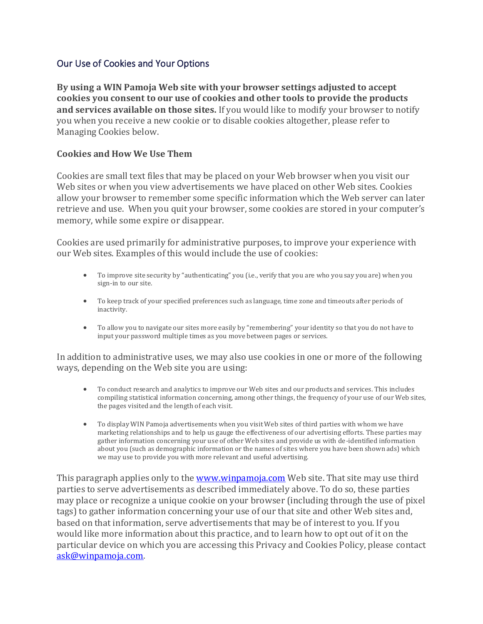## Our Use of Cookies and Your Options

**By using a WIN Pamoja Web site with your browser settings adjusted to accept cookies you consent to our use of cookies and other tools to provide the products and services available on those sites.** If you would like to modify your browser to notify you when you receive a new cookie or to disable cookies altogether, please refer to Managing Cookies below.

## **Cookies and How We Use Them**

Cookies are small text files that may be placed on your Web browser when you visit our Web sites or when you view advertisements we have placed on other Web sites. Cookies allow your browser to remember some specific information which the Web server can later retrieve and use. When you quit your browser, some cookies are stored in your computer's memory, while some expire or disappear.

Cookies are used primarily for administrative purposes, to improve your experience with our Web sites. Examples of this would include the use of cookies:

- To improve site security by "authenticating" you (i.e., verify that you are who you say you are) when you sign-in to our site.
- To keep track of your specified preferences such as language, time zone and timeouts after periods of inactivity.
- To allow you to navigate our sites more easily by "remembering" your identity so that you do not have to input your password multiple times as you move between pages or services.

In addition to administrative uses, we may also use cookies in one or more of the following ways, depending on the Web site you are using:

- To conduct research and analytics to improve our Web sites and our products and services. This includes compiling statistical information concerning, among other things, the frequency of your use of our Web sites, the pages visited and the length of each visit.
- To display WIN Pamoja advertisements when you visit Web sites of third parties with whom we have marketing relationships and to help us gauge the effectiveness of our advertising efforts. These parties may gather information concerning your use of other Web sites and provide us with de-identified information about you (such as demographic information or the names of sites where you have been shown ads) which we may use to provide you with more relevant and useful advertising.

This paragraph applies only to the [www.winpamoja.com](http://www.winpamoja.com/) Web site. That site may use third parties to serve advertisements as described immediately above. To do so, these parties may place or recognize a unique cookie on your browser (including through the use of pixel tags) to gather information concerning your use of our that site and other Web sites and, based on that information, serve advertisements that may be of interest to you. If you would like more information about this practice, and to learn how to opt out of it on the particular device on which you are accessing this Privacy and Cookies Policy, please contact [ask@winpamoja.com.](mailto:ask@winpamoja.com)